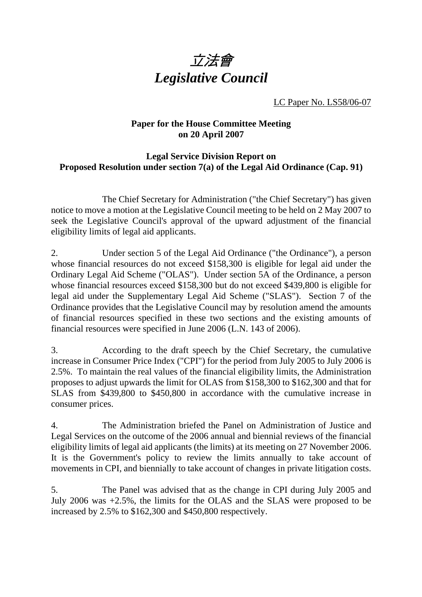

LC Paper No. LS58/06-07

## **Paper for the House Committee Meeting on 20 April 2007**

## **Legal Service Division Report on Proposed Resolution under section 7(a) of the Legal Aid Ordinance (Cap. 91)**

 The Chief Secretary for Administration ("the Chief Secretary") has given notice to move a motion at the Legislative Council meeting to be held on 2 May 2007 to seek the Legislative Council's approval of the upward adjustment of the financial eligibility limits of legal aid applicants.

2. Under section 5 of the Legal Aid Ordinance ("the Ordinance"), a person whose financial resources do not exceed \$158,300 is eligible for legal aid under the Ordinary Legal Aid Scheme ("OLAS"). Under section 5A of the Ordinance, a person whose financial resources exceed \$158,300 but do not exceed \$439,800 is eligible for legal aid under the Supplementary Legal Aid Scheme ("SLAS"). Section 7 of the Ordinance provides that the Legislative Council may by resolution amend the amounts of financial resources specified in these two sections and the existing amounts of financial resources were specified in June 2006 (L.N. 143 of 2006).

3. According to the draft speech by the Chief Secretary, the cumulative increase in Consumer Price Index ("CPI") for the period from July 2005 to July 2006 is 2.5%. To maintain the real values of the financial eligibility limits, the Administration proposes to adjust upwards the limit for OLAS from \$158,300 to \$162,300 and that for SLAS from \$439,800 to \$450,800 in accordance with the cumulative increase in consumer prices.

4. The Administration briefed the Panel on Administration of Justice and Legal Services on the outcome of the 2006 annual and biennial reviews of the financial eligibility limits of legal aid applicants (the limits) at its meeting on 27 November 2006. It is the Government's policy to review the limits annually to take account of movements in CPI, and biennially to take account of changes in private litigation costs.

5. The Panel was advised that as the change in CPI during July 2005 and July 2006 was +2.5%, the limits for the OLAS and the SLAS were proposed to be increased by 2.5% to \$162,300 and \$450,800 respectively.